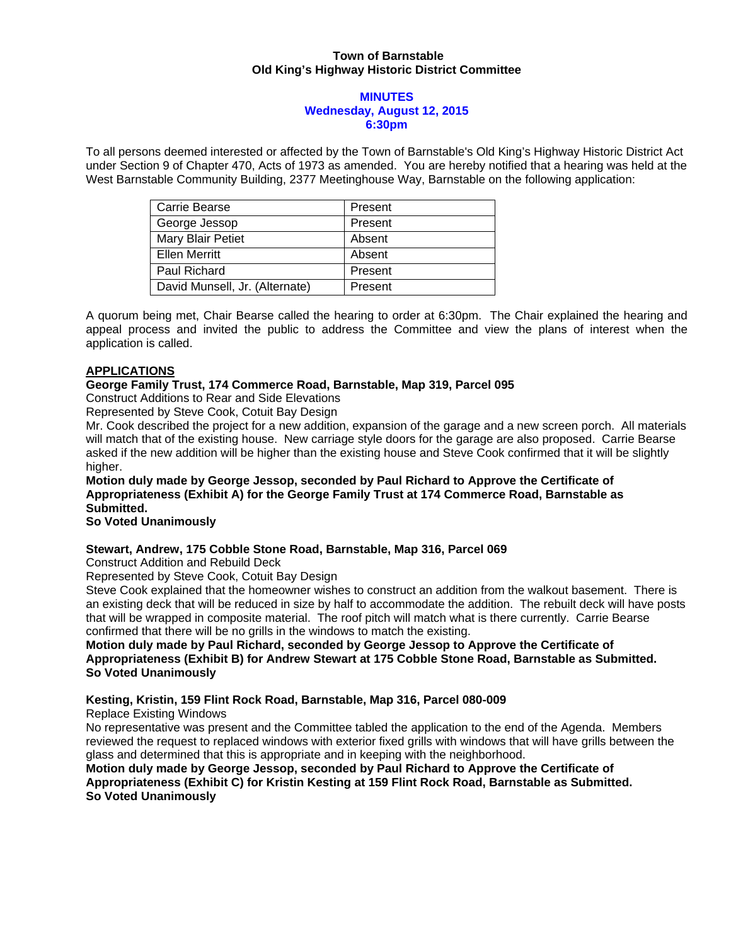## **Town of Barnstable Old King's Highway Historic District Committee**

### **MINUTES Wednesday, August 12, 2015 6:30pm**

To all persons deemed interested or affected by the Town of Barnstable's Old King's Highway Historic District Act under Section 9 of Chapter 470, Acts of 1973 as amended. You are hereby notified that a hearing was held at the West Barnstable Community Building, 2377 Meetinghouse Way, Barnstable on the following application:

| Carrie Bearse                  | Present |
|--------------------------------|---------|
| George Jessop                  | Present |
| Mary Blair Petiet              | Absent  |
| <b>Ellen Merritt</b>           | Absent  |
| Paul Richard                   | Present |
| David Munsell, Jr. (Alternate) | Present |

A quorum being met, Chair Bearse called the hearing to order at 6:30pm. The Chair explained the hearing and appeal process and invited the public to address the Committee and view the plans of interest when the application is called.

# **APPLICATIONS**

### **George Family Trust, 174 Commerce Road, Barnstable, Map 319, Parcel 095**

Construct Additions to Rear and Side Elevations

Represented by Steve Cook, Cotuit Bay Design

Mr. Cook described the project for a new addition, expansion of the garage and a new screen porch. All materials will match that of the existing house. New carriage style doors for the garage are also proposed. Carrie Bearse asked if the new addition will be higher than the existing house and Steve Cook confirmed that it will be slightly higher.

## **Motion duly made by George Jessop, seconded by Paul Richard to Approve the Certificate of Appropriateness (Exhibit A) for the George Family Trust at 174 Commerce Road, Barnstable as Submitted.**

### **So Voted Unanimously**

# **Stewart, Andrew, 175 Cobble Stone Road, Barnstable, Map 316, Parcel 069**

Construct Addition and Rebuild Deck

Represented by Steve Cook, Cotuit Bay Design

Steve Cook explained that the homeowner wishes to construct an addition from the walkout basement. There is an existing deck that will be reduced in size by half to accommodate the addition. The rebuilt deck will have posts that will be wrapped in composite material. The roof pitch will match what is there currently. Carrie Bearse confirmed that there will be no grills in the windows to match the existing.

## **Motion duly made by Paul Richard, seconded by George Jessop to Approve the Certificate of Appropriateness (Exhibit B) for Andrew Stewart at 175 Cobble Stone Road, Barnstable as Submitted. So Voted Unanimously**

# **Kesting, Kristin, 159 Flint Rock Road, Barnstable, Map 316, Parcel 080-009**

Replace Existing Windows

No representative was present and the Committee tabled the application to the end of the Agenda. Members reviewed the request to replaced windows with exterior fixed grills with windows that will have grills between the glass and determined that this is appropriate and in keeping with the neighborhood.

**Motion duly made by George Jessop, seconded by Paul Richard to Approve the Certificate of Appropriateness (Exhibit C) for Kristin Kesting at 159 Flint Rock Road, Barnstable as Submitted. So Voted Unanimously**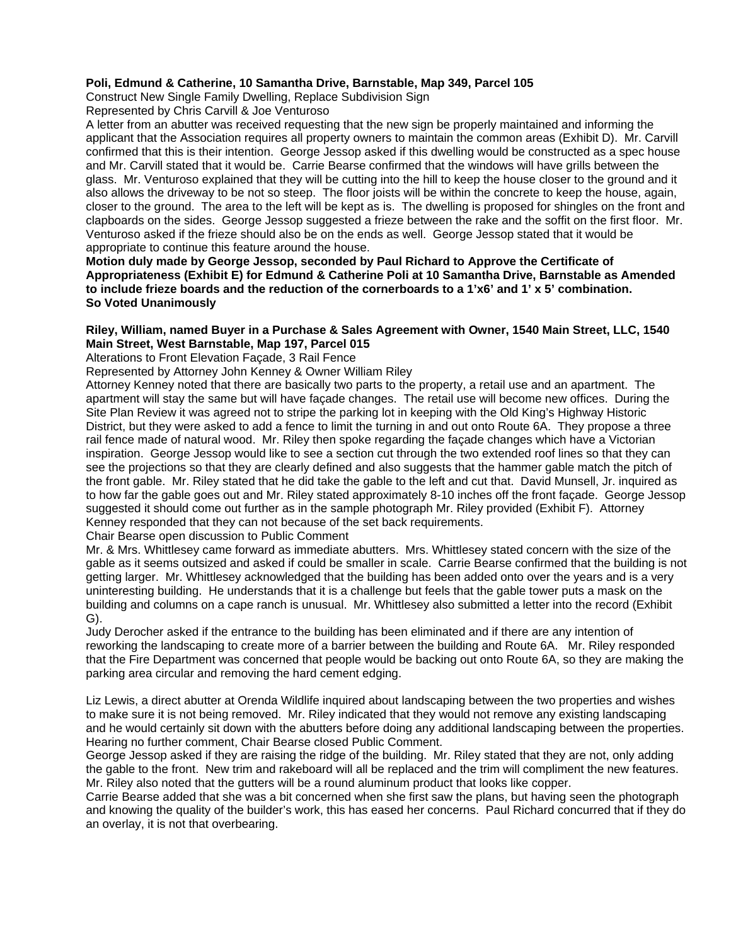## **Poli, Edmund & Catherine, 10 Samantha Drive, Barnstable, Map 349, Parcel 105**

Construct New Single Family Dwelling, Replace Subdivision Sign Represented by Chris Carvill & Joe Venturoso

A letter from an abutter was received requesting that the new sign be properly maintained and informing the applicant that the Association requires all property owners to maintain the common areas (Exhibit D). Mr. Carvill confirmed that this is their intention. George Jessop asked if this dwelling would be constructed as a spec house and Mr. Carvill stated that it would be. Carrie Bearse confirmed that the windows will have grills between the glass. Mr. Venturoso explained that they will be cutting into the hill to keep the house closer to the ground and it also allows the driveway to be not so steep. The floor joists will be within the concrete to keep the house, again, closer to the ground. The area to the left will be kept as is. The dwelling is proposed for shingles on the front and clapboards on the sides. George Jessop suggested a frieze between the rake and the soffit on the first floor. Mr. Venturoso asked if the frieze should also be on the ends as well. George Jessop stated that it would be appropriate to continue this feature around the house.

**Motion duly made by George Jessop, seconded by Paul Richard to Approve the Certificate of Appropriateness (Exhibit E) for Edmund & Catherine Poli at 10 Samantha Drive, Barnstable as Amended to include frieze boards and the reduction of the cornerboards to a 1'x6' and 1' x 5' combination. So Voted Unanimously** 

#### **Riley, William, named Buyer in a Purchase & Sales Agreement with Owner, 1540 Main Street, LLC, 1540 Main Street, West Barnstable, Map 197, Parcel 015**

Alterations to Front Elevation Façade, 3 Rail Fence

Represented by Attorney John Kenney & Owner William Riley

Attorney Kenney noted that there are basically two parts to the property, a retail use and an apartment. The apartment will stay the same but will have façade changes. The retail use will become new offices. During the Site Plan Review it was agreed not to stripe the parking lot in keeping with the Old King's Highway Historic District, but they were asked to add a fence to limit the turning in and out onto Route 6A. They propose a three rail fence made of natural wood. Mr. Riley then spoke regarding the façade changes which have a Victorian inspiration. George Jessop would like to see a section cut through the two extended roof lines so that they can see the projections so that they are clearly defined and also suggests that the hammer gable match the pitch of the front gable. Mr. Riley stated that he did take the gable to the left and cut that. David Munsell, Jr. inquired as to how far the gable goes out and Mr. Riley stated approximately 8-10 inches off the front façade. George Jessop suggested it should come out further as in the sample photograph Mr. Riley provided (Exhibit F). Attorney Kenney responded that they can not because of the set back requirements.

Chair Bearse open discussion to Public Comment

Mr. & Mrs. Whittlesey came forward as immediate abutters. Mrs. Whittlesey stated concern with the size of the gable as it seems outsized and asked if could be smaller in scale. Carrie Bearse confirmed that the building is not getting larger. Mr. Whittlesey acknowledged that the building has been added onto over the years and is a very uninteresting building. He understands that it is a challenge but feels that the gable tower puts a mask on the building and columns on a cape ranch is unusual. Mr. Whittlesey also submitted a letter into the record (Exhibit G).

Judy Derocher asked if the entrance to the building has been eliminated and if there are any intention of reworking the landscaping to create more of a barrier between the building and Route 6A. Mr. Riley responded that the Fire Department was concerned that people would be backing out onto Route 6A, so they are making the parking area circular and removing the hard cement edging.

Liz Lewis, a direct abutter at Orenda Wildlife inquired about landscaping between the two properties and wishes to make sure it is not being removed. Mr. Riley indicated that they would not remove any existing landscaping and he would certainly sit down with the abutters before doing any additional landscaping between the properties. Hearing no further comment, Chair Bearse closed Public Comment.

George Jessop asked if they are raising the ridge of the building. Mr. Riley stated that they are not, only adding the gable to the front. New trim and rakeboard will all be replaced and the trim will compliment the new features. Mr. Riley also noted that the gutters will be a round aluminum product that looks like copper.

Carrie Bearse added that she was a bit concerned when she first saw the plans, but having seen the photograph and knowing the quality of the builder's work, this has eased her concerns. Paul Richard concurred that if they do an overlay, it is not that overbearing.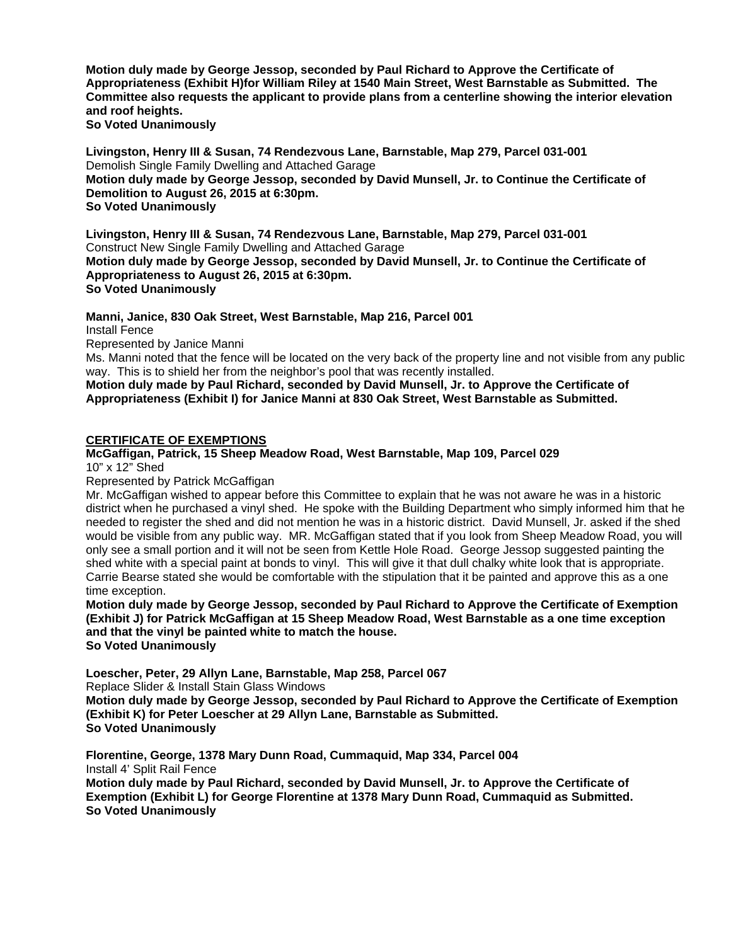**Motion duly made by George Jessop, seconded by Paul Richard to Approve the Certificate of Appropriateness (Exhibit H)for William Riley at 1540 Main Street, West Barnstable as Submitted. The Committee also requests the applicant to provide plans from a centerline showing the interior elevation and roof heights.** 

**So Voted Unanimously** 

**Livingston, Henry III & Susan, 74 Rendezvous Lane, Barnstable, Map 279, Parcel 031-001**  Demolish Single Family Dwelling and Attached Garage **Motion duly made by George Jessop, seconded by David Munsell, Jr. to Continue the Certificate of Demolition to August 26, 2015 at 6:30pm. So Voted Unanimously** 

**Livingston, Henry III & Susan, 74 Rendezvous Lane, Barnstable, Map 279, Parcel 031-001**  Construct New Single Family Dwelling and Attached Garage **Motion duly made by George Jessop, seconded by David Munsell, Jr. to Continue the Certificate of Appropriateness to August 26, 2015 at 6:30pm. So Voted Unanimously** 

**Manni, Janice, 830 Oak Street, West Barnstable, Map 216, Parcel 001** 

Install Fence

Represented by Janice Manni

Ms. Manni noted that the fence will be located on the very back of the property line and not visible from any public way. This is to shield her from the neighbor's pool that was recently installed.

**Motion duly made by Paul Richard, seconded by David Munsell, Jr. to Approve the Certificate of Appropriateness (Exhibit I) for Janice Manni at 830 Oak Street, West Barnstable as Submitted.** 

# **CERTIFICATE OF EXEMPTIONS**

#### **McGaffigan, Patrick, 15 Sheep Meadow Road, West Barnstable, Map 109, Parcel 029**  10" x 12" Shed

Represented by Patrick McGaffigan

Mr. McGaffigan wished to appear before this Committee to explain that he was not aware he was in a historic district when he purchased a vinyl shed. He spoke with the Building Department who simply informed him that he needed to register the shed and did not mention he was in a historic district. David Munsell, Jr. asked if the shed would be visible from any public way. MR. McGaffigan stated that if you look from Sheep Meadow Road, you will only see a small portion and it will not be seen from Kettle Hole Road. George Jessop suggested painting the shed white with a special paint at bonds to vinyl. This will give it that dull chalky white look that is appropriate. Carrie Bearse stated she would be comfortable with the stipulation that it be painted and approve this as a one time exception.

**Motion duly made by George Jessop, seconded by Paul Richard to Approve the Certificate of Exemption (Exhibit J) for Patrick McGaffigan at 15 Sheep Meadow Road, West Barnstable as a one time exception and that the vinyl be painted white to match the house. So Voted Unanimously**

**Loescher, Peter, 29 Allyn Lane, Barnstable, Map 258, Parcel 067**  Replace Slider & Install Stain Glass Windows

**Motion duly made by George Jessop, seconded by Paul Richard to Approve the Certificate of Exemption (Exhibit K) for Peter Loescher at 29 Allyn Lane, Barnstable as Submitted. So Voted Unanimously** 

**Florentine, George, 1378 Mary Dunn Road, Cummaquid, Map 334, Parcel 004**  Install 4' Split Rail Fence

**Motion duly made by Paul Richard, seconded by David Munsell, Jr. to Approve the Certificate of Exemption (Exhibit L) for George Florentine at 1378 Mary Dunn Road, Cummaquid as Submitted. So Voted Unanimously**